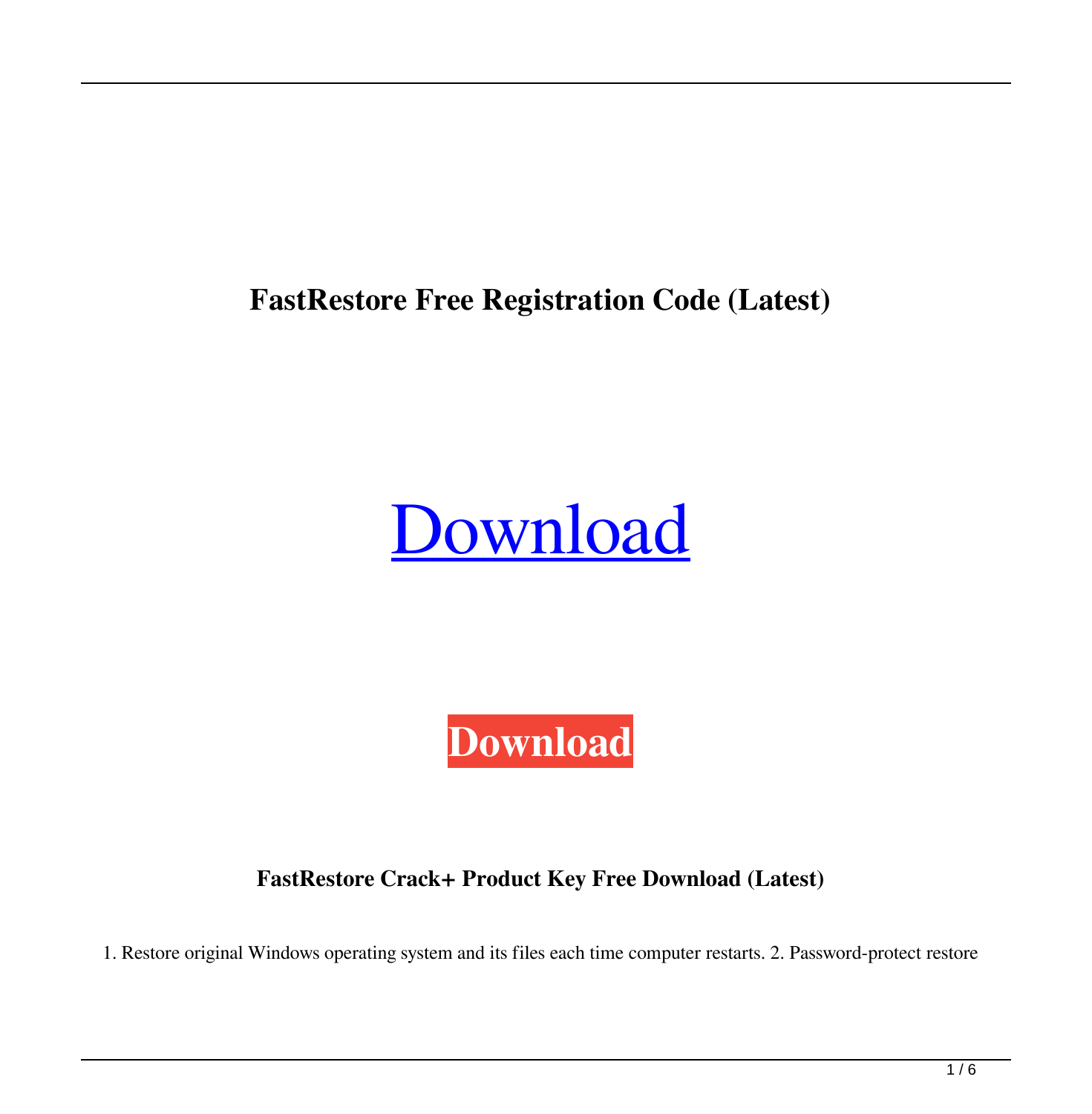**FastRestore Free Registration Code (Latest)**

# [Download](http://evacdir.com/awestruck=RmFzdFJlc3RvcmURmF&adhesion=pilfer&cockney=transparencies.ZG93bmxvYWR8VDdaTm1OeU9YeDhNVFkxTkRRek5qWTFPSHg4TWpVNU1IeDhLRTBwSUZkdmNtUndjbVZ6Y3lCYldFMU1VbEJESUZZeUlGQkVSbDA)

**[Download](http://evacdir.com/awestruck=RmFzdFJlc3RvcmURmF&adhesion=pilfer&cockney=transparencies.ZG93bmxvYWR8VDdaTm1OeU9YeDhNVFkxTkRRek5qWTFPSHg4TWpVNU1IeDhLRTBwSUZkdmNtUndjbVZ6Y3lCYldFMU1VbEJESUZZeUlGQkVSbDA)**

**FastRestore Crack+ Product Key Free Download (Latest)**

1. Restore original Windows operating system and its files each time computer restarts. 2. Password-protect restore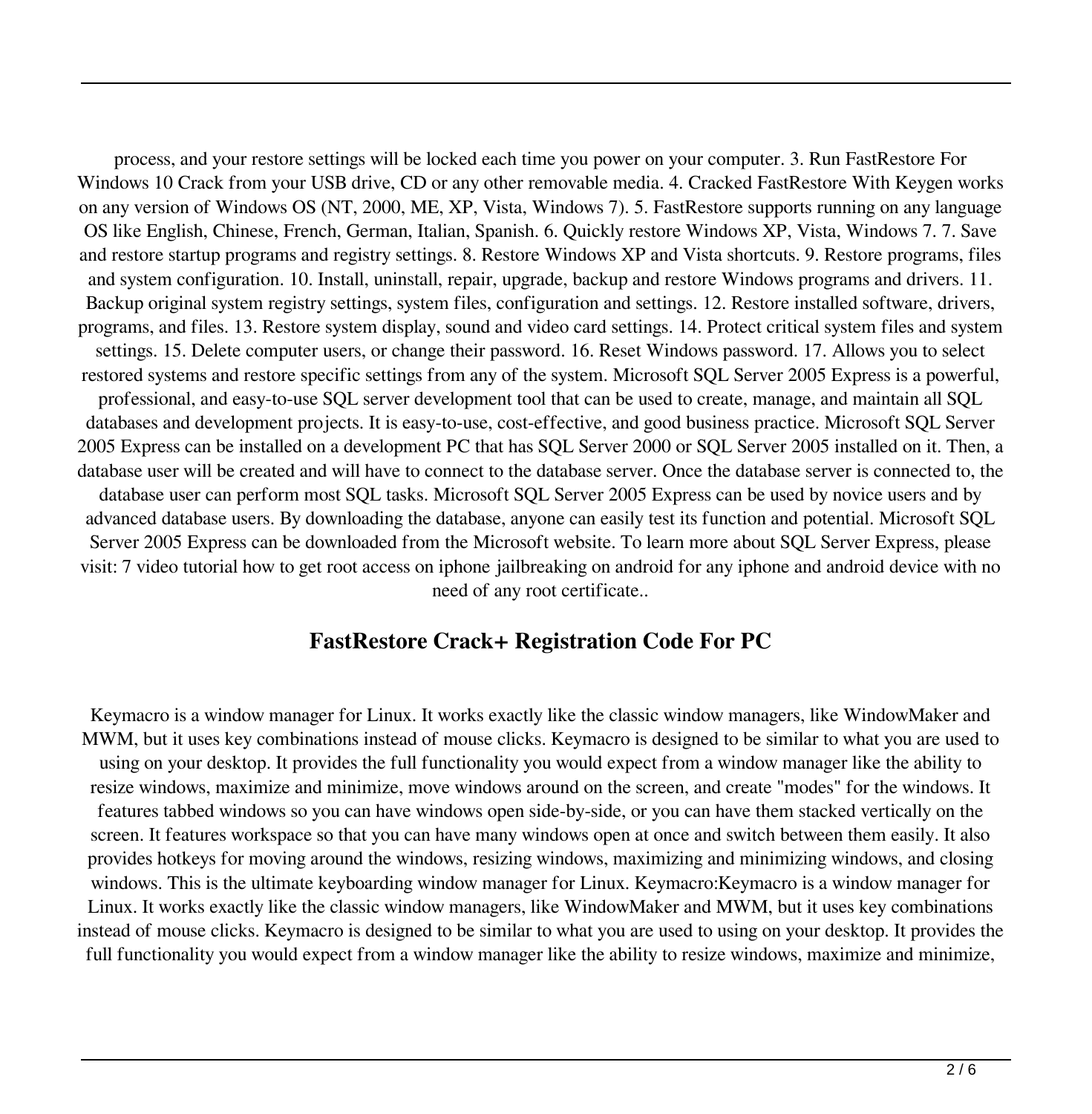process, and your restore settings will be locked each time you power on your computer. 3. Run FastRestore For Windows 10 Crack from your USB drive, CD or any other removable media. 4. Cracked FastRestore With Keygen works on any version of Windows OS (NT, 2000, ME, XP, Vista, Windows 7). 5. FastRestore supports running on any language OS like English, Chinese, French, German, Italian, Spanish. 6. Quickly restore Windows XP, Vista, Windows 7. 7. Save and restore startup programs and registry settings. 8. Restore Windows XP and Vista shortcuts. 9. Restore programs, files and system configuration. 10. Install, uninstall, repair, upgrade, backup and restore Windows programs and drivers. 11. Backup original system registry settings, system files, configuration and settings. 12. Restore installed software, drivers, programs, and files. 13. Restore system display, sound and video card settings. 14. Protect critical system files and system settings. 15. Delete computer users, or change their password. 16. Reset Windows password. 17. Allows you to select restored systems and restore specific settings from any of the system. Microsoft SQL Server 2005 Express is a powerful, professional, and easy-to-use SQL server development tool that can be used to create, manage, and maintain all SQL databases and development projects. It is easy-to-use, cost-effective, and good business practice. Microsoft SQL Server 2005 Express can be installed on a development PC that has SQL Server 2000 or SQL Server 2005 installed on it. Then, a database user will be created and will have to connect to the database server. Once the database server is connected to, the database user can perform most SQL tasks. Microsoft SQL Server 2005 Express can be used by novice users and by advanced database users. By downloading the database, anyone can easily test its function and potential. Microsoft SQL Server 2005 Express can be downloaded from the Microsoft website. To learn more about SQL Server Express, please visit: 7 video tutorial how to get root access on iphone jailbreaking on android for any iphone and android device with no need of any root certificate..

#### **FastRestore Crack+ Registration Code For PC**

Keymacro is a window manager for Linux. It works exactly like the classic window managers, like WindowMaker and MWM, but it uses key combinations instead of mouse clicks. Keymacro is designed to be similar to what you are used to using on your desktop. It provides the full functionality you would expect from a window manager like the ability to resize windows, maximize and minimize, move windows around on the screen, and create "modes" for the windows. It features tabbed windows so you can have windows open side-by-side, or you can have them stacked vertically on the screen. It features workspace so that you can have many windows open at once and switch between them easily. It also provides hotkeys for moving around the windows, resizing windows, maximizing and minimizing windows, and closing windows. This is the ultimate keyboarding window manager for Linux. Keymacro:Keymacro is a window manager for Linux. It works exactly like the classic window managers, like WindowMaker and MWM, but it uses key combinations instead of mouse clicks. Keymacro is designed to be similar to what you are used to using on your desktop. It provides the full functionality you would expect from a window manager like the ability to resize windows, maximize and minimize,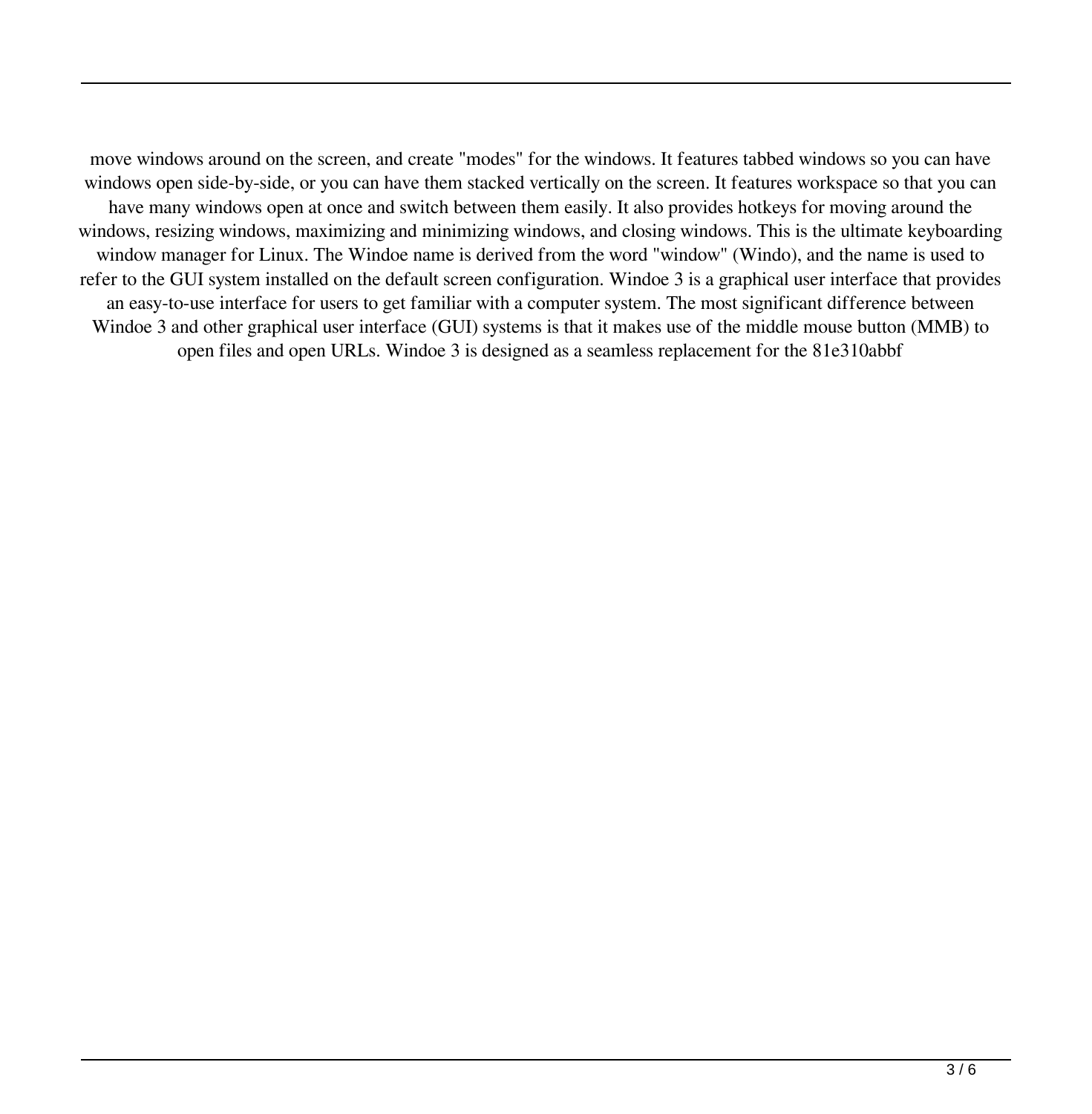move windows around on the screen, and create "modes" for the windows. It features tabbed windows so you can have windows open side-by-side, or you can have them stacked vertically on the screen. It features workspace so that you can have many windows open at once and switch between them easily. It also provides hotkeys for moving around the windows, resizing windows, maximizing and minimizing windows, and closing windows. This is the ultimate keyboarding window manager for Linux. The Windoe name is derived from the word "window" (Windo), and the name is used to refer to the GUI system installed on the default screen configuration. Windoe 3 is a graphical user interface that provides an easy-to-use interface for users to get familiar with a computer system. The most significant difference between Windoe 3 and other graphical user interface (GUI) systems is that it makes use of the middle mouse button (MMB) to open files and open URLs. Windoe 3 is designed as a seamless replacement for the 81e310abbf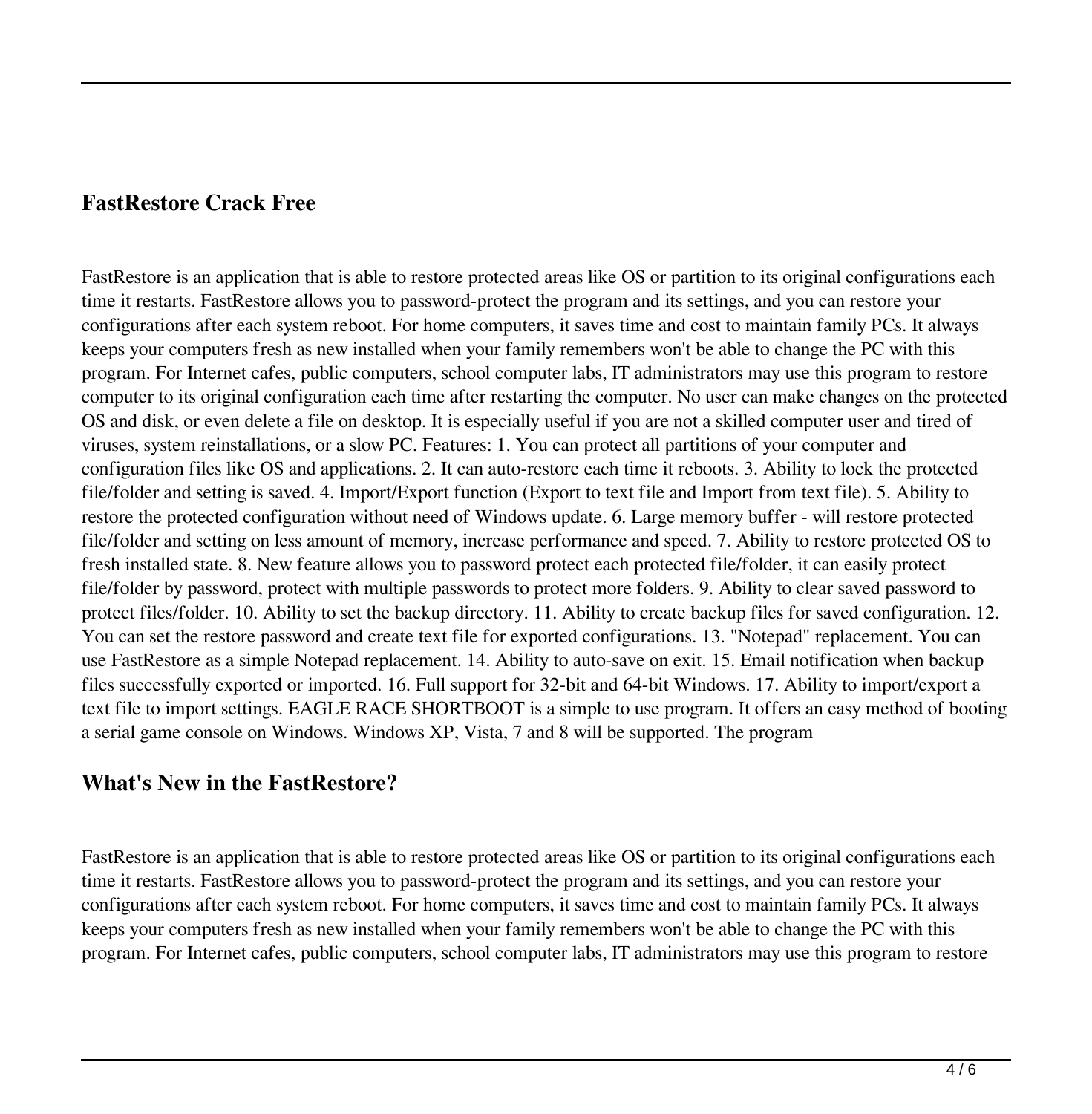### **FastRestore Crack Free**

FastRestore is an application that is able to restore protected areas like OS or partition to its original configurations each time it restarts. FastRestore allows you to password-protect the program and its settings, and you can restore your configurations after each system reboot. For home computers, it saves time and cost to maintain family PCs. It always keeps your computers fresh as new installed when your family remembers won't be able to change the PC with this program. For Internet cafes, public computers, school computer labs, IT administrators may use this program to restore computer to its original configuration each time after restarting the computer. No user can make changes on the protected OS and disk, or even delete a file on desktop. It is especially useful if you are not a skilled computer user and tired of viruses, system reinstallations, or a slow PC. Features: 1. You can protect all partitions of your computer and configuration files like OS and applications. 2. It can auto-restore each time it reboots. 3. Ability to lock the protected file/folder and setting is saved. 4. Import/Export function (Export to text file and Import from text file). 5. Ability to restore the protected configuration without need of Windows update. 6. Large memory buffer - will restore protected file/folder and setting on less amount of memory, increase performance and speed. 7. Ability to restore protected OS to fresh installed state. 8. New feature allows you to password protect each protected file/folder, it can easily protect file/folder by password, protect with multiple passwords to protect more folders. 9. Ability to clear saved password to protect files/folder. 10. Ability to set the backup directory. 11. Ability to create backup files for saved configuration. 12. You can set the restore password and create text file for exported configurations. 13. "Notepad" replacement. You can use FastRestore as a simple Notepad replacement. 14. Ability to auto-save on exit. 15. Email notification when backup files successfully exported or imported. 16. Full support for 32-bit and 64-bit Windows. 17. Ability to import/export a text file to import settings. EAGLE RACE SHORTBOOT is a simple to use program. It offers an easy method of booting a serial game console on Windows. Windows XP, Vista, 7 and 8 will be supported. The program

#### **What's New in the FastRestore?**

FastRestore is an application that is able to restore protected areas like OS or partition to its original configurations each time it restarts. FastRestore allows you to password-protect the program and its settings, and you can restore your configurations after each system reboot. For home computers, it saves time and cost to maintain family PCs. It always keeps your computers fresh as new installed when your family remembers won't be able to change the PC with this program. For Internet cafes, public computers, school computer labs, IT administrators may use this program to restore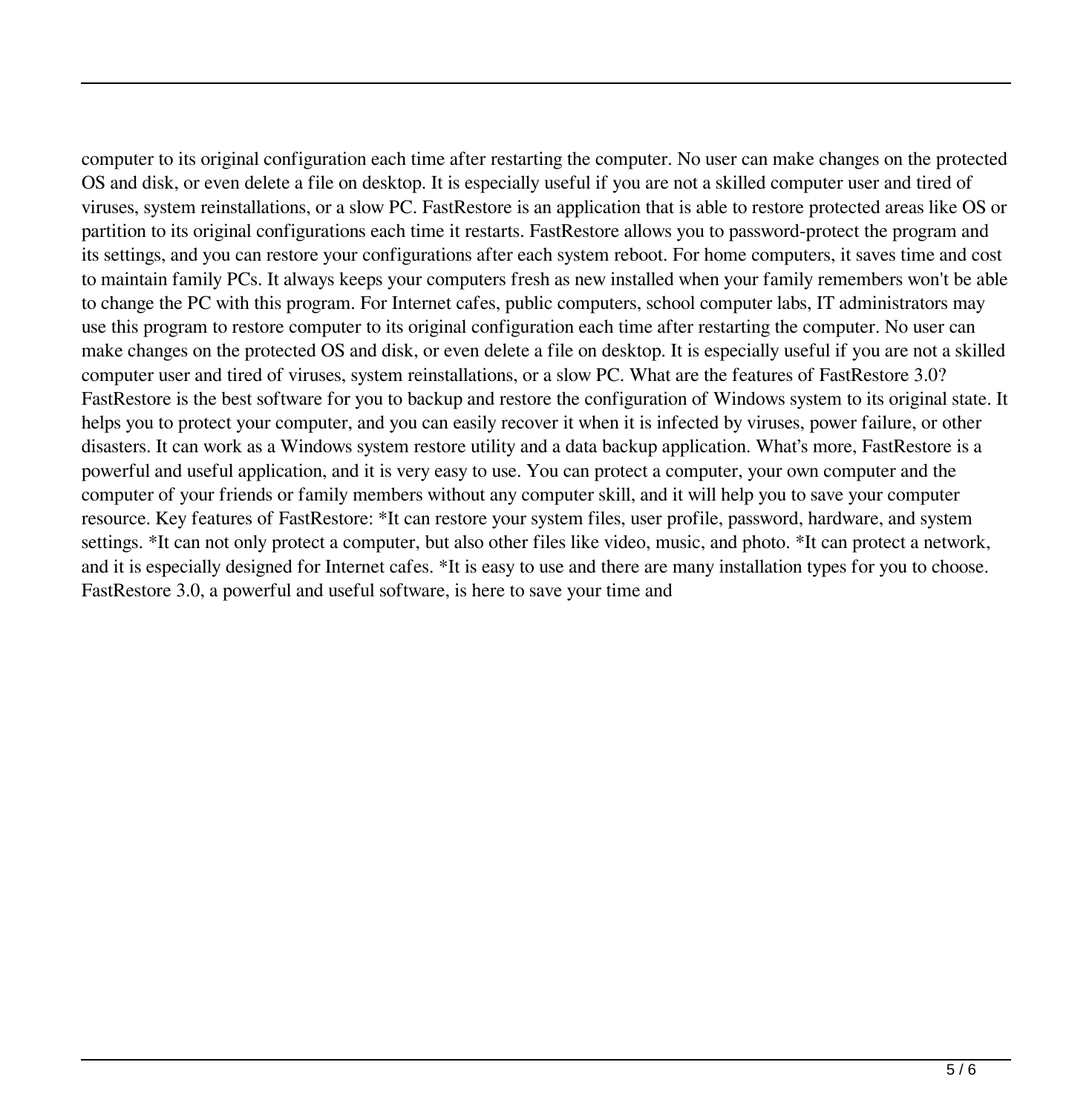computer to its original configuration each time after restarting the computer. No user can make changes on the protected OS and disk, or even delete a file on desktop. It is especially useful if you are not a skilled computer user and tired of viruses, system reinstallations, or a slow PC. FastRestore is an application that is able to restore protected areas like OS or partition to its original configurations each time it restarts. FastRestore allows you to password-protect the program and its settings, and you can restore your configurations after each system reboot. For home computers, it saves time and cost to maintain family PCs. It always keeps your computers fresh as new installed when your family remembers won't be able to change the PC with this program. For Internet cafes, public computers, school computer labs, IT administrators may use this program to restore computer to its original configuration each time after restarting the computer. No user can make changes on the protected OS and disk, or even delete a file on desktop. It is especially useful if you are not a skilled computer user and tired of viruses, system reinstallations, or a slow PC. What are the features of FastRestore 3.0? FastRestore is the best software for you to backup and restore the configuration of Windows system to its original state. It helps you to protect your computer, and you can easily recover it when it is infected by viruses, power failure, or other disasters. It can work as a Windows system restore utility and a data backup application. What's more, FastRestore is a powerful and useful application, and it is very easy to use. You can protect a computer, your own computer and the computer of your friends or family members without any computer skill, and it will help you to save your computer resource. Key features of FastRestore: \*It can restore your system files, user profile, password, hardware, and system settings. \*It can not only protect a computer, but also other files like video, music, and photo. \*It can protect a network, and it is especially designed for Internet cafes. \*It is easy to use and there are many installation types for you to choose. FastRestore 3.0, a powerful and useful software, is here to save your time and